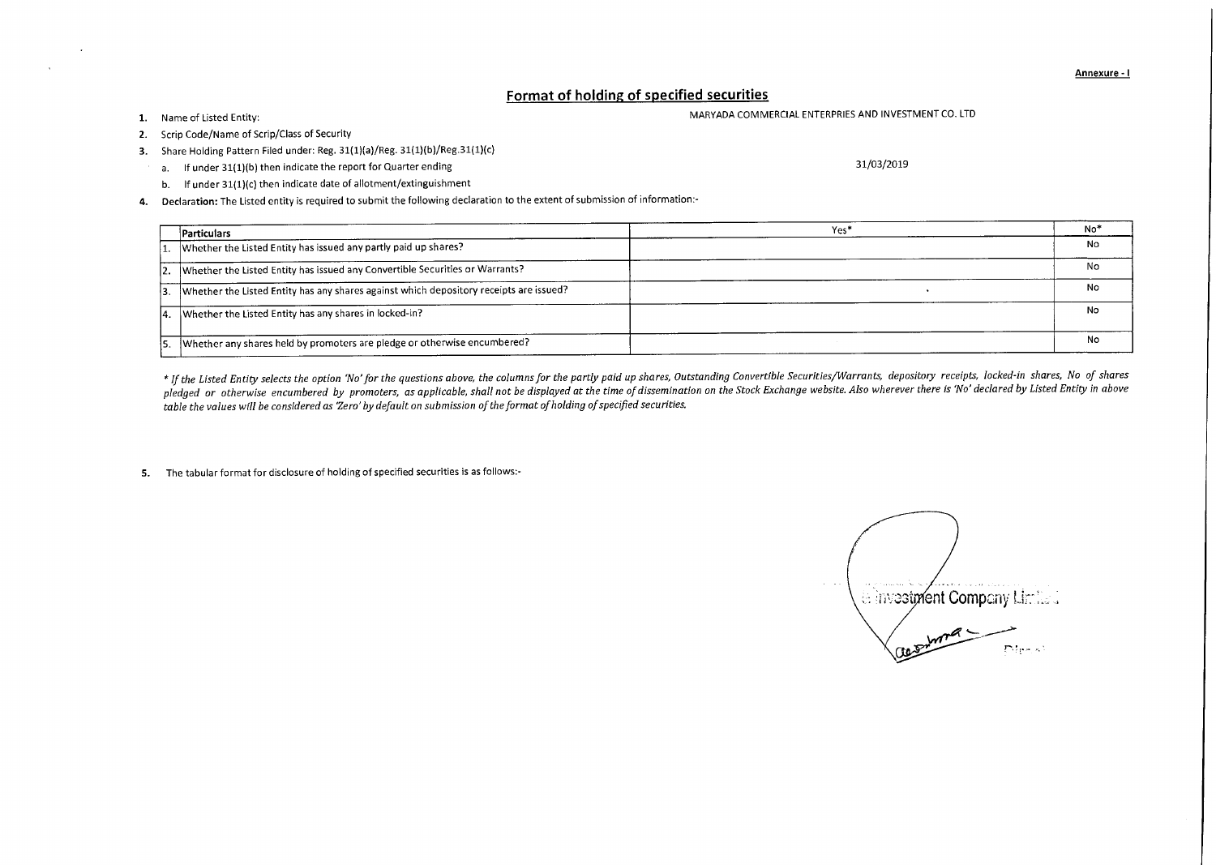Annexure - I

## Format of holding of specified securities

## 1. Name of Listed Entity: the community of Listed Entity: the MARYADA COMMERCIAL ENTERPRIES AND INVESTMENT CO. LTD

- 2. Scrip Code/Name of Scrip/Class of Security
- 3. Share Holding Pattern Filed under: Reg. 31(1)(a)/Reg. 31(1)(b)/Reg.31(1)(c)
	- a. If under 31(1)(b) then indicate the report for Quarter ending 31/03/2019 31/03/2019
	- b. If under 31(1)(c) then indicate date of allotment/extinguishment
- **4.** Declaration: The Listed entity is required to submit the following declaration to the extent of submission of information:-

|    | Particulars                                                                            | Yes <sup>*</sup> | No <sup>*</sup> |
|----|----------------------------------------------------------------------------------------|------------------|-----------------|
|    | Whether the Listed Entity has issued any partly paid up shares?                        |                  | No              |
|    | 2. Whether the Listed Entity has issued any Convertible Securities or Warrants?        |                  | No              |
| 3. | Whether the Listed Entity has any shares against which depository receipts are issued? |                  | No              |
|    | 4. Whether the Listed Entity has any shares in locked-in?                              |                  | No              |
|    | Whether any shares held by promoters are pledge or otherwise encumbered?               |                  | Nο              |

*\* If the Listed Entity selects the option 'No' for the questions above, the columns for the partly paid up shares, Outstanding Convertible Securities/Warrants, depository receipts, locked-in shares, No of shares pledged or otherwise encumbered by promoters, as applicable, shall not be displayed at the time of dissemination on the Stock Exchange website. Also wherever there is 'No' declared by Listed Entity in above table the values will be considered as 'Zero' by default on submission of the format of holding of specified securities.* 

5. The tabular format for disclosure of holding of specified securities is as follows:-

erinvestment Company Limited  $m<sup>a</sup>$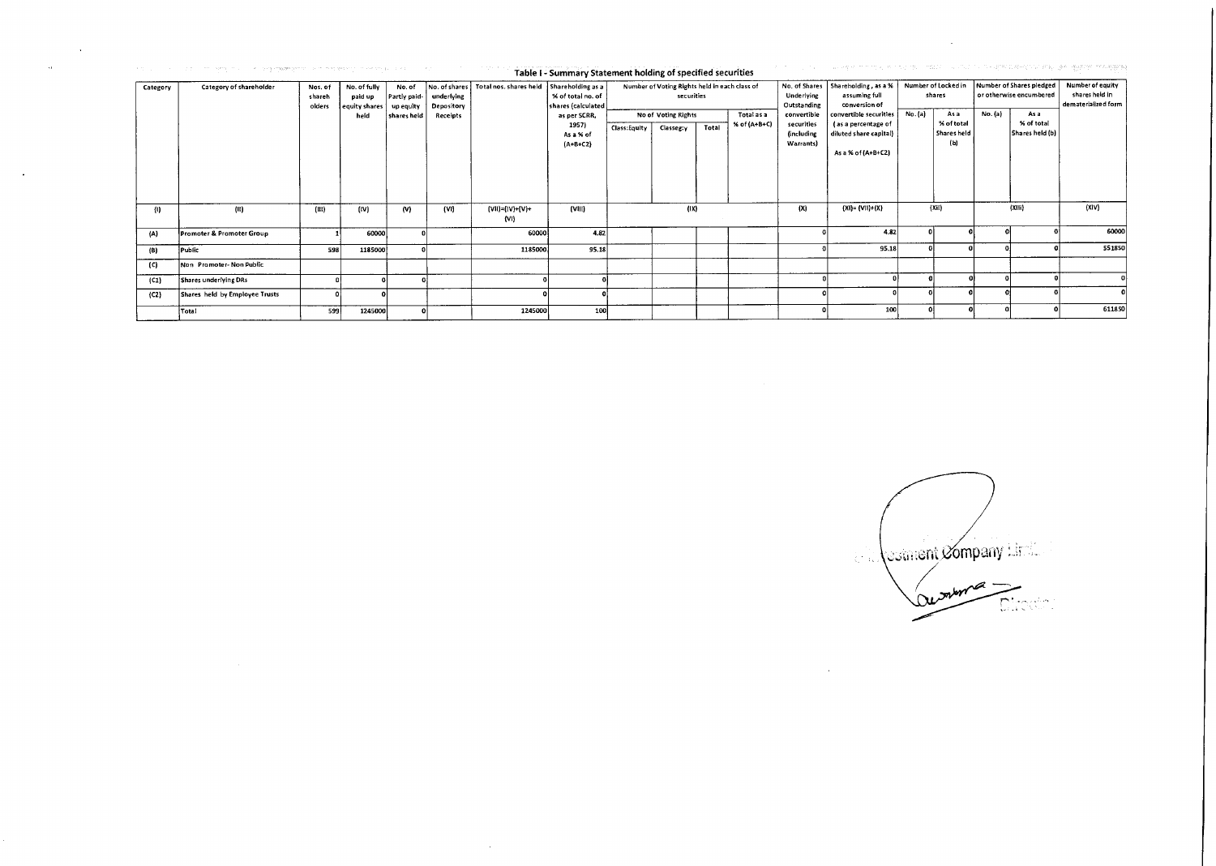|          | 가 되어 있는 것이 아니라 이 것 같아. 이번에 대표하는 하나 이 가 되지 않아 일 사실 주말을 시절 주말에 걸쳐서 있다. 최대에 해당한 경면적인 실시에 사회하고 있는 것 같아요 하나 가 되고 있다. |                             |                                          |                                     |                                           | Table I - Summary Statement holding of specified securities |                                                                                                                                         |              |                                                             |       |                            |                                                             | 이 사이에 이 있어요. 이 그 일본 수 없이 지역 제도 최저지 전 생활이 사용되지 않을까요? 지수가 사용해 보여 주세요? 이 모든 일본 수 1월 20일 10004 중동 정복 |                               |                                         |         |                                                     |                                                           |
|----------|-----------------------------------------------------------------------------------------------------------------|-----------------------------|------------------------------------------|-------------------------------------|-------------------------------------------|-------------------------------------------------------------|-----------------------------------------------------------------------------------------------------------------------------------------|--------------|-------------------------------------------------------------|-------|----------------------------|-------------------------------------------------------------|--------------------------------------------------------------------------------------------------|-------------------------------|-----------------------------------------|---------|-----------------------------------------------------|-----------------------------------------------------------|
| Category | Category of shareholder                                                                                         | Nos. of<br>shareh<br>olders | No. of fully<br>paid up<br>equity shares | No. of<br>Partly paid-<br>up equity | No. of shares<br>underlying<br>Depository |                                                             | Total nos. shares held Shareholding as a<br>% of total no. of<br>shares (calculated<br>as per SCRR,<br>1957)<br>As a % of<br>$(A+B+C2)$ |              | Number of Voting Rights held in each class of<br>securities |       |                            | No. of Shares<br><b>Underlying</b><br>Outstanding           | Shareholding, as a %<br>assuming full<br>conversion of                                           | Number of Locked in<br>shares |                                         |         | Number of Shares pledged<br>or otherwise encumbered | Number of equity<br>shares held in<br>dematerialized form |
|          |                                                                                                                 |                             | held                                     | shares held                         | Receipts                                  |                                                             |                                                                                                                                         | Class:Equity | No of Voting Rights<br>Classeg:y                            | Total | Total as a<br>% of (A+B+C) | convertible<br>securities<br><i>(including</i><br>Warrants) | convertible securities<br>(as a percentage of<br>diluted share capital)<br>As a % of (A+B+C2)    | No. (a)                       | Asa<br>% of total<br>Shares held<br>(b) | No. (a) | As a<br>% of total<br>Shares held (b)               |                                                           |
| 0        | (II)                                                                                                            | (III)                       | (IV)                                     | (V)                                 | (V1)                                      | $(VII)=(IV)+(V)+$<br>$\{VI\}$                               | (VIII)                                                                                                                                  |              | (1X)                                                        |       |                            | (X)                                                         | $(XI) = (VII)+(X)$                                                                               |                               | (Xii)                                   |         | (X(1))                                              | (X V)                                                     |
| (A)      | Promoter & Promoter Group                                                                                       |                             | 60000                                    |                                     |                                           | 60000                                                       | 4.82                                                                                                                                    |              |                                                             |       |                            |                                                             | 4.82                                                                                             |                               |                                         |         |                                                     | 60000                                                     |
| (B)      | Public                                                                                                          | 598                         | 1185000                                  |                                     |                                           | 1185000                                                     | 95.18                                                                                                                                   |              |                                                             |       |                            |                                                             | 95.18                                                                                            |                               |                                         |         |                                                     | 551850                                                    |
| (C)      | Non Promoter-Non Public                                                                                         |                             |                                          |                                     |                                           |                                                             |                                                                                                                                         |              |                                                             |       |                            |                                                             |                                                                                                  |                               |                                         |         |                                                     |                                                           |
| (C1)     | Shares underlying DRs                                                                                           |                             |                                          |                                     |                                           |                                                             |                                                                                                                                         |              |                                                             |       |                            |                                                             |                                                                                                  |                               |                                         |         |                                                     |                                                           |
| (C2)     | Shares held by Employee Trusts                                                                                  |                             |                                          |                                     |                                           |                                                             |                                                                                                                                         |              |                                                             |       |                            |                                                             |                                                                                                  |                               |                                         |         |                                                     |                                                           |
|          | Total                                                                                                           | 599                         | 1245000                                  |                                     |                                           | 1245000                                                     | 100                                                                                                                                     |              |                                                             |       |                            |                                                             | 100                                                                                              |                               |                                         |         |                                                     | 611850                                                    |

 $\mathcal{L}^{\text{max}}_{\text{max}}$  and  $\mathcal{L}^{\text{max}}_{\text{max}}$ 

 $\sim$   $\sim$ 

 $\sim 10^{11}$  km s  $^{-1}$ 

Comment Company

 $\mathcal{L}^{\text{max}}_{\text{max}}$ 

 $\mathcal{L}^{\mathcal{L}}(\mathcal{L}^{\mathcal{L}}(\mathcal{L}^{\mathcal{L}}(\mathcal{L}^{\mathcal{L}}(\mathcal{L}^{\mathcal{L}}(\mathcal{L}^{\mathcal{L}}(\mathcal{L}^{\mathcal{L}}(\mathcal{L}^{\mathcal{L}}(\mathcal{L}^{\mathcal{L}}(\mathcal{L}^{\mathcal{L}}(\mathcal{L}^{\mathcal{L}}(\mathcal{L}^{\mathcal{L}}(\mathcal{L}^{\mathcal{L}}(\mathcal{L}^{\mathcal{L}}(\mathcal{L}^{\mathcal{L}}(\mathcal{L}^{\mathcal{L}}(\mathcal{L}^{\mathcal{L$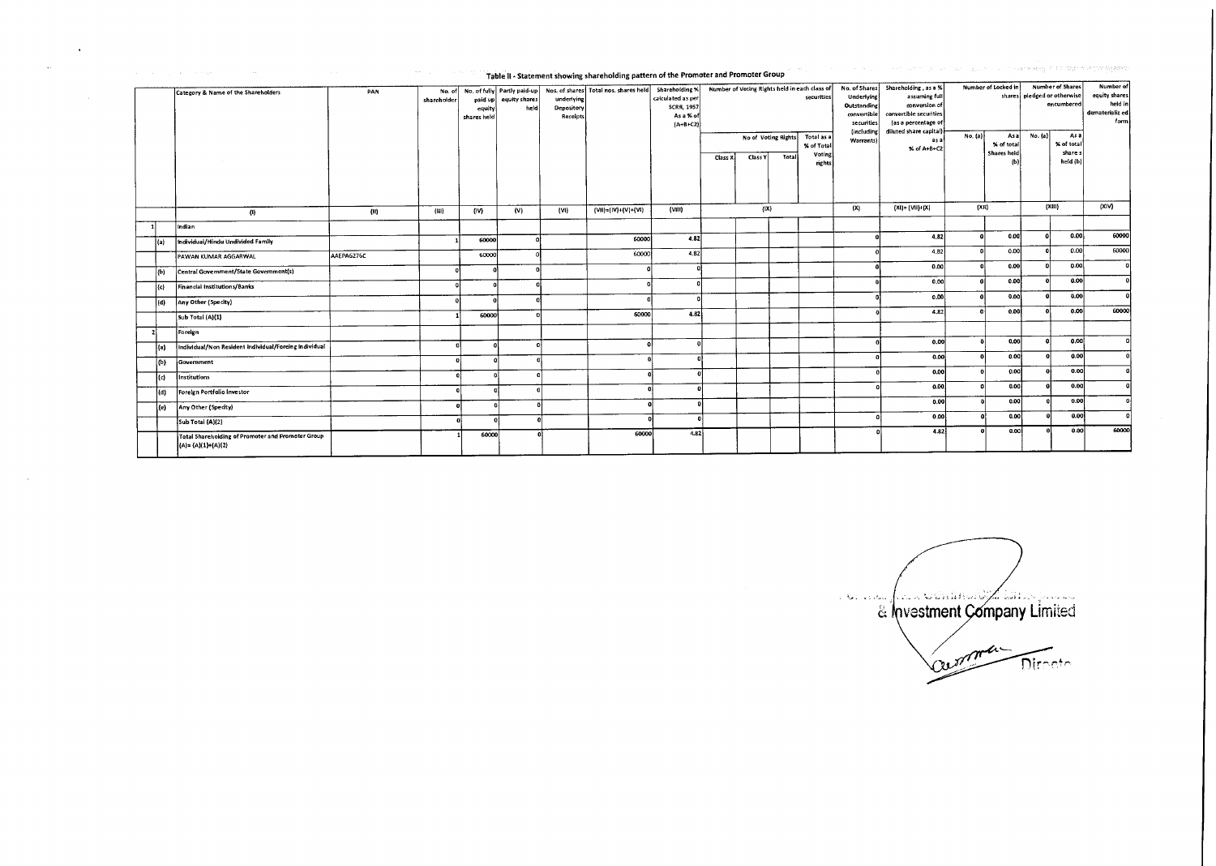|      |                                                                              |            | Table it - Statement showing snareholding pattern or the Promoter and Promoter Group |                                  |                       |                                             |                                                                                  |                                                                       |                                                                                    |         |       |                                                                                       |                                                                                                                                   |                                |              |                                                                                                  |              |                                                                  |              |
|------|------------------------------------------------------------------------------|------------|--------------------------------------------------------------------------------------|----------------------------------|-----------------------|---------------------------------------------|----------------------------------------------------------------------------------|-----------------------------------------------------------------------|------------------------------------------------------------------------------------|---------|-------|---------------------------------------------------------------------------------------|-----------------------------------------------------------------------------------------------------------------------------------|--------------------------------|--------------|--------------------------------------------------------------------------------------------------|--------------|------------------------------------------------------------------|--------------|
|      | Category & Name of the Shareholders                                          | PAN        | No. of<br>shareholder                                                                | paid up<br>equity<br>shares held | equity shares<br>held | underlying<br>Depository<br><b>Receipts</b> | No. of fully Partly paid-up Nos. of shares Total nos. shares held Shareholding % | calculated as per<br><b>SCRR, 1957</b><br>As a % of<br>$(A + B + C2)$ | Number of Voting Rights held in each class of<br>securities<br>No of Voting Rights |         |       | No. of Shares<br>Underlying<br>Outstanding<br>convertible<br>securities<br>(including | Shareholding, as a %<br>assuming full<br>conversion of<br>convertible securities<br>(as a percentage of<br>diluted share capital) | Number of Locked in<br>No. (a) |              | <b>Number of Shares</b><br>shares   pledged or otherwise<br>encumbered<br>No. (a)<br>As a<br>Asa |              | Number of<br>equity shares<br>held in<br>dematerializ ed<br>form |              |
|      |                                                                              |            |                                                                                      |                                  |                       |                                             |                                                                                  |                                                                       | Class X                                                                            | Class Y | Total | Total as a<br>% of Total<br>Voting<br>rights                                          | Warrants)                                                                                                                         | as a<br>% of A+B+C2            |              | % of total<br>Shares held<br>ſЫ                                                                  |              | % of total<br>share s<br>held (b)                                |              |
|      | $\langle 0 \rangle$                                                          | (11)       | (111)                                                                                | (IV)                             | (V)                   | (V)                                         | $(VII) = (IV) + (V) + (VI)$                                                      | (Vill)                                                                |                                                                                    | (1X)    |       |                                                                                       | (X)                                                                                                                               | $(XI) = (VII)+(X)$             | (XH)         |                                                                                                  | (XIII)       |                                                                  | (X V)        |
|      | Indian                                                                       |            |                                                                                      |                                  |                       |                                             |                                                                                  |                                                                       |                                                                                    |         |       |                                                                                       |                                                                                                                                   |                                |              |                                                                                                  |              |                                                                  |              |
| (a)  | Individual/Hindu Undivided Family                                            |            |                                                                                      | 60000                            |                       |                                             | 60000                                                                            | 4.82                                                                  |                                                                                    |         |       |                                                                                       | $\mathbf{r}$                                                                                                                      | 4,82                           | $\mathbf{r}$ | 0.00                                                                                             | n.           | 0.00                                                             | 60000        |
|      | PAWAN KUMAR AGGARWAL                                                         | AAEPA6276C |                                                                                      | 60000                            |                       |                                             | 60000                                                                            | 4.82                                                                  |                                                                                    |         |       |                                                                                       |                                                                                                                                   | 4.B2                           | $\mathbf{G}$ | 0.00                                                                                             | n.           | o.col                                                            | 60000        |
| (b)  | Central Government/State Government(s)                                       |            |                                                                                      |                                  |                       |                                             |                                                                                  | $\Omega$                                                              |                                                                                    |         |       |                                                                                       |                                                                                                                                   | 0.00                           |              | 0.00                                                                                             | $\mathbf{a}$ | 0.00                                                             | $\mathbf{a}$ |
| (c)  | Financial Institutions/Banks                                                 |            |                                                                                      |                                  |                       |                                             |                                                                                  |                                                                       |                                                                                    |         |       |                                                                                       |                                                                                                                                   | 0.00                           |              | 0.00                                                                                             |              | 0.00                                                             | n.           |
| (d)  | Any Other (Specity)                                                          |            |                                                                                      |                                  |                       |                                             |                                                                                  |                                                                       |                                                                                    |         |       |                                                                                       |                                                                                                                                   | 0.00                           |              | 0.00                                                                                             | $\mathbf{a}$ | 0.00                                                             |              |
|      | Sub Total (A)(1)                                                             |            |                                                                                      | 60000                            |                       |                                             | 60000                                                                            | 4.82                                                                  |                                                                                    |         |       |                                                                                       |                                                                                                                                   | 4.82                           | D            | 0.00                                                                                             | $\mathbf{a}$ | 0.00                                                             | 60000        |
|      | Foreign                                                                      |            |                                                                                      |                                  |                       |                                             |                                                                                  |                                                                       |                                                                                    |         |       |                                                                                       |                                                                                                                                   |                                |              |                                                                                                  |              |                                                                  |              |
| l(a) | Individual/Non Resident Individual/Foreing Individual                        |            |                                                                                      |                                  |                       |                                             |                                                                                  |                                                                       |                                                                                    |         |       |                                                                                       |                                                                                                                                   | 0.00                           |              | 0,00                                                                                             | $\theta$     | 0,00                                                             |              |
| (b)  | Government                                                                   |            |                                                                                      |                                  |                       |                                             |                                                                                  |                                                                       |                                                                                    |         |       |                                                                                       | $\mathbf{a}$                                                                                                                      | 0.00                           |              | 0.00                                                                                             |              | 0.00                                                             |              |
| (c)  | Institutions                                                                 |            |                                                                                      |                                  |                       |                                             |                                                                                  |                                                                       |                                                                                    |         |       |                                                                                       |                                                                                                                                   | 0.00                           |              | 0.00                                                                                             |              | 0.00                                                             |              |
| (d)  | Foreign Portfolio Investor                                                   |            |                                                                                      |                                  |                       |                                             |                                                                                  |                                                                       |                                                                                    |         |       |                                                                                       |                                                                                                                                   | 0.00                           |              | 0.00                                                                                             |              | 0.00                                                             |              |
| (e)  | Any Other (Specity)                                                          |            |                                                                                      |                                  |                       |                                             |                                                                                  |                                                                       |                                                                                    |         |       |                                                                                       |                                                                                                                                   | 0.00                           |              | 0.00                                                                                             |              | 0.00                                                             |              |
|      | Sub Total (A)(2)                                                             |            |                                                                                      |                                  |                       |                                             |                                                                                  |                                                                       |                                                                                    |         |       |                                                                                       | n                                                                                                                                 | 0.00                           |              | 0.00                                                                                             |              | 0.00                                                             |              |
|      | Total Shareholding of Promoter and Promoter Group<br>$(A) = (A)(1) + (A)(2)$ |            |                                                                                      | 60000                            |                       |                                             | 60000                                                                            | 4.82                                                                  |                                                                                    |         |       |                                                                                       |                                                                                                                                   | 4.82                           |              | 0.00                                                                                             |              | 0.00                                                             | 60000        |

Table II - Statement showing shareholding pattern of the Promoter and Promoter Group

 $\sim$ 

 $\alpha$ 

e a la designació de la construcción de la company Limited estment Company Lim Director

communications of the regime angeling good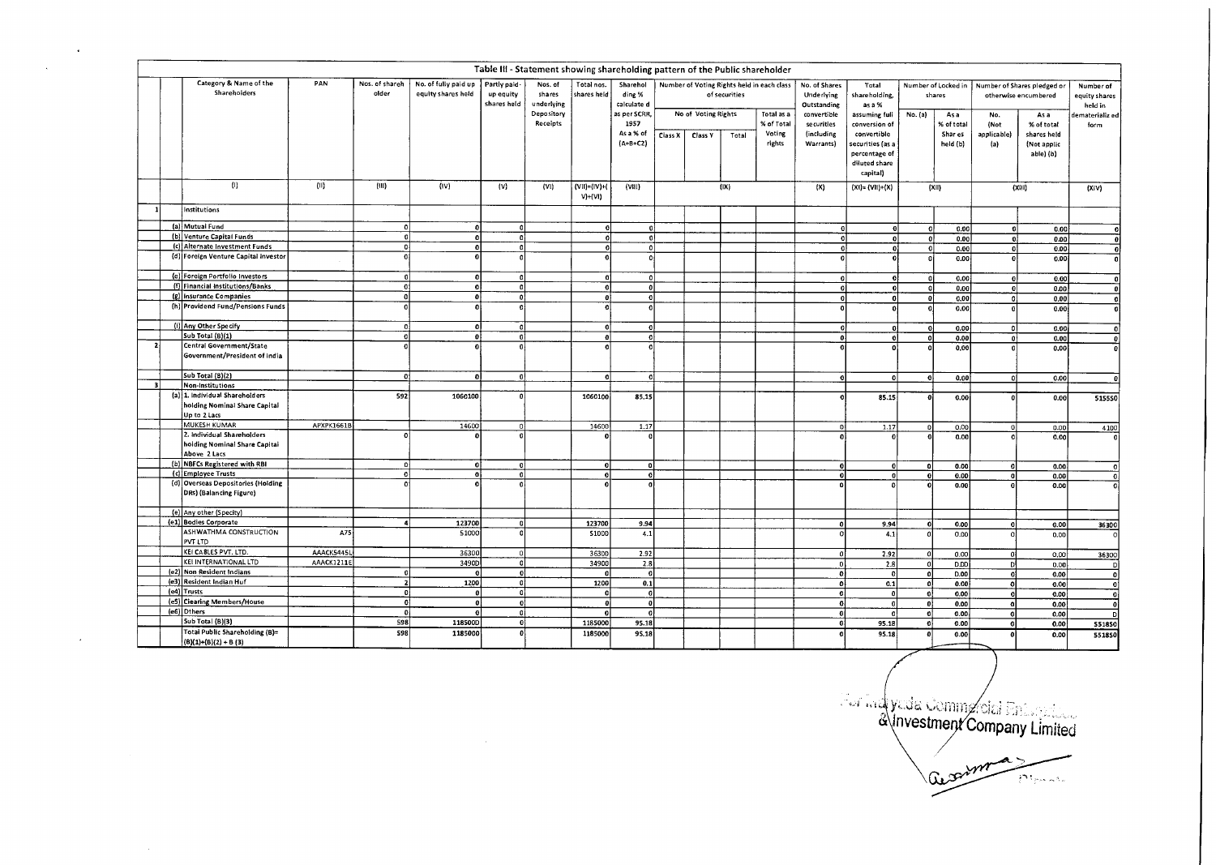|                          |                                                                                 |            |                         |                                            |                                          | Table III - Statement showing shareholding pattern of the Public shareholder |                                     |                                                 |         |                                |               |                                              |                                                       |                                                               |                               |                               |                            |                                                     |                                       |
|--------------------------|---------------------------------------------------------------------------------|------------|-------------------------|--------------------------------------------|------------------------------------------|------------------------------------------------------------------------------|-------------------------------------|-------------------------------------------------|---------|--------------------------------|---------------|----------------------------------------------|-------------------------------------------------------|---------------------------------------------------------------|-------------------------------|-------------------------------|----------------------------|-----------------------------------------------------|---------------------------------------|
|                          | Category & Name of the<br>Shareholders                                          | PAN        | Nos. of shareh<br>older | No. of fully paid up<br>equity shares held | Partly paid-<br>up equity<br>shares held | Nos. of<br>shares<br>underlying                                              | Total nos.<br>shares held           | Sharehol<br>ding %<br>calculate d               |         |                                | of securities | Number of Voting Rights held in each class   | No. of Shares<br>Underlying<br>Outstanding            | Total<br>shareholding,<br>as a %                              | Number of Locked in<br>shares |                               |                            | Number of Shares pledged or<br>otherwise encumbered | Number of<br>equity shares<br>held in |
|                          |                                                                                 |            |                         |                                            |                                          | Depository<br>Receipts                                                       |                                     | as per SCRR,<br>1957<br>As a % of<br>$(A+B+C2)$ | Class X | No of Voting Rights<br>Class Y | Total         | Total as a<br>% of Total<br>Voting<br>rights | convertible<br>se curities<br>(including<br>Warrants) | assuming full<br>conversion of<br>convertible                 | No. (a)                       | As a<br>% of total<br>Shar es | No.<br>(Not<br>applicable) | As a<br>% of total<br>shares held                   | dematerializ ed<br>form               |
|                          |                                                                                 |            |                         |                                            |                                          |                                                                              |                                     |                                                 |         |                                |               |                                              |                                                       | ecurities (as a<br>percentage of<br>diluted share<br>capital) |                               | held (b)                      | (a)                        | (Not applic<br>able) (b)                            |                                       |
|                          | (1)                                                                             | (11)       | (III)                   | (IV)                                       | (V)                                      | (VI)                                                                         | $(VII) = (IV) + ($<br>$V$ )+ $(VI)$ | (VIII)                                          |         |                                | (IX)          |                                              | (X)                                                   | $(X1) = (V11)+(X)$                                            |                               | (X  )                         |                            | (XIII)                                              | (XiV)                                 |
|                          | Institutions                                                                    |            |                         |                                            |                                          |                                                                              |                                     |                                                 |         |                                |               |                                              |                                                       |                                                               |                               |                               |                            |                                                     |                                       |
|                          | (a) Mutual Fund                                                                 |            | 0                       |                                            |                                          |                                                                              | 0                                   | 0                                               |         |                                |               |                                              | $\Omega$                                              | <b>o</b>                                                      | $\Omega$                      | 0.00                          | 0                          | 0.00                                                |                                       |
|                          | (b) Venture Capital Funds                                                       |            | $\mathbf{o}$            |                                            |                                          |                                                                              |                                     | $\overline{0}$                                  |         |                                |               |                                              | $\Omega$                                              | $\overline{0}$                                                | $\boldsymbol{0}$              | 0.00                          | -ol                        | 0.00                                                | οl                                    |
|                          | (c) Alternate Investment Funds                                                  |            | $\mathbf{a}$            |                                            |                                          |                                                                              | $\Omega$                            | $\overline{\mathfrak{o}}$                       |         |                                |               |                                              | -ol                                                   | o                                                             | $\mathbf{0}$                  | 0.00                          | $\mathbf{o}$               | 0.00                                                | -ol                                   |
|                          | (d) Foreign Venture Capital Investor                                            |            | ō                       |                                            |                                          |                                                                              |                                     | o.                                              |         |                                |               |                                              | $\theta$                                              |                                                               | $\Omega$                      | 0.00                          | $\mathbf{o}$               | 0.00                                                | οl                                    |
|                          | (e) Foreign Portfolio Investors                                                 |            | $\Omega$                |                                            |                                          |                                                                              | n                                   | 0                                               |         |                                |               |                                              | οl                                                    | Ω                                                             | οI                            | 0.00                          | <sub>0</sub>               | 0.00                                                | $\Omega$                              |
|                          | (f) Financial Institutions/Banks                                                |            | -e i                    | $\Omega$                                   | $\Omega$                                 |                                                                              |                                     | $\theta$                                        |         |                                |               |                                              | $\mathbf{o}$                                          | $\Omega$                                                      | 0                             | 0.00                          | $\bullet$                  | 0.00                                                | $\mathbf{0}$                          |
|                          | (g) Insurance Companies                                                         |            | n.                      | $\theta$                                   |                                          |                                                                              |                                     | $\Omega$                                        |         |                                |               |                                              | $\Omega$                                              | ٥l                                                            | ol                            | 0.00                          | $\mathbf{0}$               | 0.00                                                | $\Omega$                              |
|                          | (h) Providend Fund/Pensions Funds                                               |            | ó                       |                                            |                                          |                                                                              |                                     |                                                 |         |                                |               |                                              |                                                       |                                                               |                               | 0.00                          | $\ddot{\mathbf{0}}$        | 0.00                                                | O.                                    |
|                          | (i) Any Other Specify                                                           |            | n                       | $\mathbf{a}$                               | $\Omega$                                 |                                                                              |                                     | $\mathbf{0}$                                    |         |                                |               |                                              | $\ddot{\mathbf{0}}$                                   | $\Omega$                                                      | -ol                           | 0.00                          | $\bullet$                  | 0.00                                                | $\mathbf{0}$                          |
|                          | Sub Total (B)(1)                                                                |            | o                       | $\mathbf{0}$                               | $\Omega$                                 |                                                                              | $\mathbf{0}$                        | 0                                               |         |                                |               |                                              | $\mathbf{0}$                                          | οl                                                            | 0                             | 0.00                          | ol                         | 0.00                                                | $\theta$                              |
| $\overline{\phantom{a}}$ | Central Government/State<br>Government/President of India                       |            |                         |                                            |                                          |                                                                              |                                     | $\Omega$                                        |         |                                |               |                                              |                                                       | O                                                             |                               | 0,00                          | $\mathbf{0}$               | 0,00                                                |                                       |
|                          | Sub Total (B)(2)                                                                |            | οl                      | $\Omega$                                   | ۵I                                       |                                                                              | $\Omega$                            | $\Omega$                                        |         |                                |               |                                              |                                                       | $\Omega$                                                      |                               | 0.00                          | $\overline{\mathbf{0}}$    | 0.00                                                |                                       |
| 31                       | Non-Institutions                                                                |            |                         |                                            |                                          |                                                                              |                                     |                                                 |         |                                |               |                                              |                                                       |                                                               |                               |                               |                            |                                                     |                                       |
|                          | (a) 1. Individual Shareholders<br>holding Nominal Share Capital<br>Up to 2 Lacs |            | 592                     | 1060100                                    |                                          |                                                                              | 1060100                             | 85.15                                           |         |                                |               |                                              |                                                       | 85.15                                                         |                               | 0.00                          | $\Omega$                   | 0.00                                                | 515550                                |
|                          | <b>MUKESH KUMAR</b>                                                             | APXPK1661B |                         | 14600                                      |                                          |                                                                              | 14600                               | 1.17                                            |         |                                |               |                                              | οł                                                    | 1.17                                                          | $\mathbf{r}$                  | 0.00                          | ol                         | 0.00                                                | 4100                                  |
|                          | 2. Individual Shareholders<br>holding Nominal Share Capital<br>Above 2 Lacs     |            | $\Omega$                |                                            |                                          |                                                                              |                                     |                                                 |         |                                |               |                                              | $\Omega$                                              |                                                               |                               | 0.00                          | $\Omega$                   | 0.00                                                |                                       |
|                          | (b) NBFCs Registered with RBI                                                   |            | $\alpha$                | $\mathbf{0}$                               | $\ddot{\mathbf{0}}$                      |                                                                              | £.                                  | 0                                               |         |                                |               |                                              | -ol                                                   | $\mathbf{0}$                                                  | ol                            | 0.00                          | 0                          | 0.00                                                | -0                                    |
|                          | (c) Employee Trusts                                                             |            | ۰ol                     | ٥l                                         | $\mathbf{0}$                             |                                                                              |                                     | ol                                              |         |                                |               |                                              | ö                                                     | 0                                                             | ol                            | 0.00                          | $\theta$                   | 0.00                                                | -O                                    |
|                          | (d) Overseas Depositories (Holding<br>DRs) (Balancing Figure)                   |            | ۵İ                      |                                            |                                          |                                                                              |                                     | $\Omega$                                        |         |                                |               |                                              |                                                       |                                                               |                               | 0.00                          |                            | 0.00                                                |                                       |
|                          | (e) Any other (Specity)                                                         |            |                         |                                            |                                          |                                                                              |                                     |                                                 |         |                                |               |                                              |                                                       |                                                               |                               |                               |                            |                                                     |                                       |
|                          | (e1) Bodies Corporate                                                           |            | 4                       | 123700                                     |                                          |                                                                              | 123700                              | 9.94                                            |         |                                |               |                                              | $\Omega$                                              | 9.94                                                          | $\Omega$                      | 0.00                          | ۰ol                        | 0.00                                                | 36300                                 |
|                          | ASHWATHMA CONSTRUCTION<br>PVT LTD                                               | A75        |                         | 51000                                      |                                          |                                                                              | \$1000                              | 4.1                                             |         |                                |               |                                              |                                                       | 4.1                                                           |                               | 0.00                          | $\Omega$                   | 0.00                                                | $\overline{a}$                        |
|                          | KEI CABLES PVT. LTD.                                                            | AAACK5445L |                         | 36300                                      |                                          |                                                                              | 36300                               | 2.92                                            |         |                                |               |                                              | $\Omega$                                              | 2.92                                                          | 0                             | 0.00                          | οł                         | 0.00                                                | 36300                                 |
|                          | KEI INTERNATIONAL LTD                                                           | AAACK1211E |                         | 3490D                                      | 0                                        |                                                                              | 34900                               | 2.8                                             |         |                                |               |                                              | οl                                                    | 2.8                                                           | 0                             | D.DD                          | рļ                         | 0.00                                                | D                                     |
|                          | (e2) Non Resident Indians                                                       |            |                         |                                            | $\ddot{\text{o}}$                        |                                                                              |                                     | o                                               |         |                                |               |                                              | o                                                     | $\Omega$                                                      | o                             | D.00                          | $\mathbf{0}$               | 0.00                                                | $\Omega$                              |
|                          | (e3) Resident Indian Huf                                                        |            | $\overline{2}$          | 1200                                       | $\mathbf 0$                              |                                                                              | 1200                                | 0.1                                             |         |                                |               |                                              | ٥İ                                                    | 0.1                                                           | -ol                           | 0.00                          | οl                         | 0.00                                                | -0                                    |
|                          | (e4) Trusts                                                                     |            | $\mathbf{o}$            |                                            | $\mathbf 0$                              |                                                                              |                                     | o                                               |         |                                |               |                                              | -ol                                                   |                                                               | -ol                           | 0.00                          | o                          | 0.00                                                | -n                                    |
|                          | (e5) Clearing Members/House                                                     |            | ol                      | $\theta$                                   | o.                                       |                                                                              | $\mathbf{0}$                        | $\theta$                                        |         |                                |               |                                              | ٥l                                                    |                                                               | -ol                           | 0.00                          | -al                        | 0.00                                                |                                       |
|                          | (e6) Dthers                                                                     |            | -ol                     |                                            | $\Omega$                                 |                                                                              |                                     | o                                               |         |                                |               |                                              | o                                                     |                                                               | -ol                           | 0.00                          | <sub>0</sub>               | 0.00                                                |                                       |
|                          | Sub Total (B)(3)                                                                |            | 598                     | 118500D                                    | o                                        |                                                                              | 1185000                             | 95.18                                           |         |                                |               |                                              | o                                                     | 95.18                                                         | $\mathbf{o}$                  | 0.00                          | $\overline{0}$             | 0.00                                                | 551850                                |
|                          | Total Public Shareholding (B)=<br>$(B)(1)+(B)(2)+B(3)$                          |            | s98                     | 1185000                                    |                                          |                                                                              | 1185000                             | 95.18                                           |         |                                |               |                                              |                                                       | 95.18                                                         | O.                            | 0.00                          | o                          | 0.00                                                | 551850                                |

 $\epsilon$ 

 $\overline{\phantom{0}}$ 

investme Commandial Enterprise.<br>**Katalog Company Limited** 

Germannich